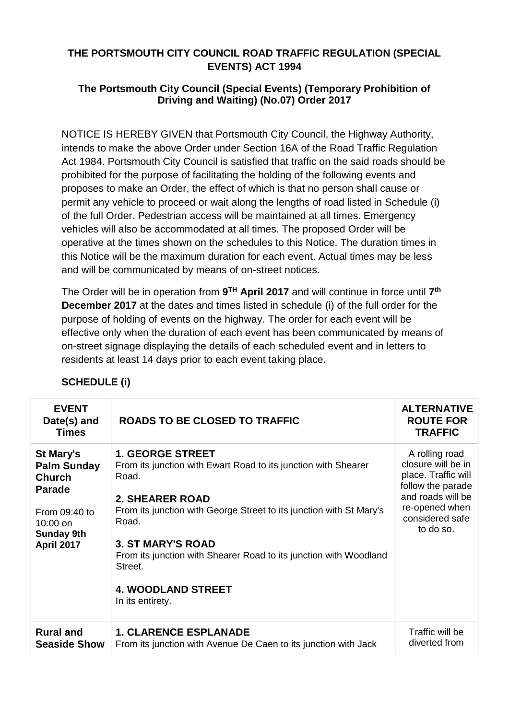## **THE PORTSMOUTH CITY COUNCIL ROAD TRAFFIC REGULATION (SPECIAL EVENTS) ACT 1994**

## **The Portsmouth City Council (Special Events) (Temporary Prohibition of Driving and Waiting) (No.07) Order 2017**

NOTICE IS HEREBY GIVEN that Portsmouth City Council, the Highway Authority, intends to make the above Order under Section 16A of the Road Traffic Regulation Act 1984. Portsmouth City Council is satisfied that traffic on the said roads should be prohibited for the purpose of facilitating the holding of the following events and proposes to make an Order, the effect of which is that no person shall cause or permit any vehicle to proceed or wait along the lengths of road listed in Schedule (i) of the full Order. Pedestrian access will be maintained at all times. Emergency vehicles will also be accommodated at all times. The proposed Order will be operative at the times shown on th*e* schedules to this Notice. The duration times in this Notice will be the maximum duration for each event. Actual times may be less and will be communicated by means of on-street notices.

The Order will be in operation from **9 TH April 2017** and will continue in force until **7 th December 2017** at the dates and times listed in schedule (i) of the full order for the purpose of holding of events on the highway. The order for each event will be effective only when the duration of each event has been communicated by means of on-street signage displaying the details of each scheduled event and in letters to residents at least 14 days prior to each event taking place.

| <b>EVENT</b><br>Date(s) and<br><b>Times</b>                                                                                                       | <b>ROADS TO BE CLOSED TO TRAFFIC</b>                                                                                                                                                                                                                                                                                                                                      | <b>ALTERNATIVE</b><br><b>ROUTE FOR</b><br><b>TRAFFIC</b>                                                                                                |
|---------------------------------------------------------------------------------------------------------------------------------------------------|---------------------------------------------------------------------------------------------------------------------------------------------------------------------------------------------------------------------------------------------------------------------------------------------------------------------------------------------------------------------------|---------------------------------------------------------------------------------------------------------------------------------------------------------|
| <b>St Mary's</b><br><b>Palm Sunday</b><br><b>Church</b><br><b>Parade</b><br>From 09:40 to<br>$10:00$ on<br><b>Sunday 9th</b><br><b>April 2017</b> | <b>1. GEORGE STREET</b><br>From its junction with Ewart Road to its junction with Shearer<br>Road.<br><b>2. SHEARER ROAD</b><br>From its junction with George Street to its junction with St Mary's<br>Road.<br><b>3. ST MARY'S ROAD</b><br>From its junction with Shearer Road to its junction with Woodland<br>Street.<br><b>4. WOODLAND STREET</b><br>In its entirety. | A rolling road<br>closure will be in<br>place. Traffic will<br>follow the parade<br>and roads will be<br>re-opened when<br>considered safe<br>to do so. |
| <b>Rural and</b><br><b>Seaside Show</b>                                                                                                           | <b>1. CLARENCE ESPLANADE</b><br>From its junction with Avenue De Caen to its junction with Jack                                                                                                                                                                                                                                                                           | Traffic will be<br>diverted from                                                                                                                        |

## **SCHEDULE (i)**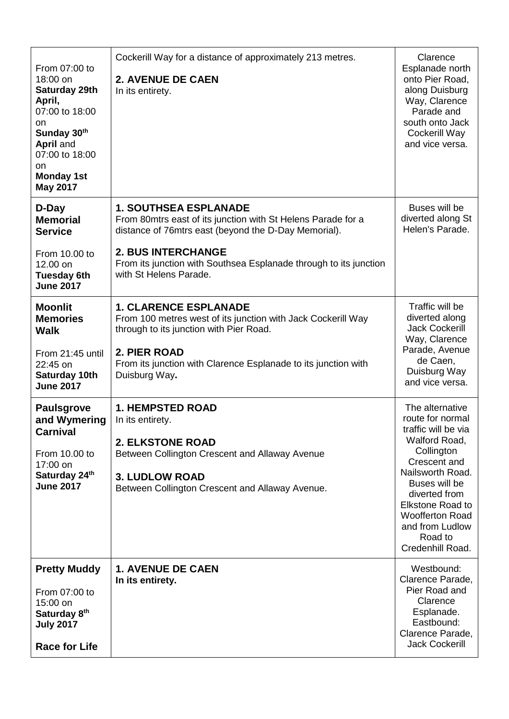|                                                                                                                                                                          | Cockerill Way for a distance of approximately 213 metres.                                                                                                                                                                                                                        | Clarence                                                                                                                                                                                                                                                               |
|--------------------------------------------------------------------------------------------------------------------------------------------------------------------------|----------------------------------------------------------------------------------------------------------------------------------------------------------------------------------------------------------------------------------------------------------------------------------|------------------------------------------------------------------------------------------------------------------------------------------------------------------------------------------------------------------------------------------------------------------------|
| From 07:00 to<br>18:00 on<br>Saturday 29th<br>April,<br>07:00 to 18:00<br>on<br>Sunday 30th<br>April and<br>07:00 to 18:00<br>on<br><b>Monday 1st</b><br><b>May 2017</b> | <b>2. AVENUE DE CAEN</b><br>In its entirety.                                                                                                                                                                                                                                     | Esplanade north<br>onto Pier Road,<br>along Duisburg<br>Way, Clarence<br>Parade and<br>south onto Jack<br>Cockerill Way<br>and vice versa.                                                                                                                             |
| D-Day<br><b>Memorial</b><br><b>Service</b><br>From 10.00 to<br>12.00 on<br><b>Tuesday 6th</b><br><b>June 2017</b>                                                        | <b>1. SOUTHSEA ESPLANADE</b><br>From 80mtrs east of its junction with St Helens Parade for a<br>distance of 76mtrs east (beyond the D-Day Memorial).<br><b>2. BUS INTERCHANGE</b><br>From its junction with Southsea Esplanade through to its junction<br>with St Helens Parade. | Buses will be<br>diverted along St<br>Helen's Parade.                                                                                                                                                                                                                  |
| <b>Moonlit</b><br><b>Memories</b><br><b>Walk</b><br>From 21:45 until<br>22:45 on<br>Saturday 10th                                                                        | <b>1. CLARENCE ESPLANADE</b><br>From 100 metres west of its junction with Jack Cockerill Way<br>through to its junction with Pier Road.<br>2. PIER ROAD<br>From its junction with Clarence Esplanade to its junction with<br>Duisburg Way.                                       | Traffic will be<br>diverted along<br><b>Jack Cockerill</b><br>Way, Clarence<br>Parade, Avenue<br>de Caen,<br>Duisburg Way                                                                                                                                              |
| <b>June 2017</b>                                                                                                                                                         |                                                                                                                                                                                                                                                                                  | and vice versa.                                                                                                                                                                                                                                                        |
| <b>Paulsgrove</b><br>and Wymering<br><b>Carnival</b><br>From 10.00 to<br>17:00 on<br>Saturday 24th<br><b>June 2017</b>                                                   | <b>1. HEMPSTED ROAD</b><br>In its entirety.<br><b>2. ELKSTONE ROAD</b><br>Between Collington Crescent and Allaway Avenue<br><b>3. LUDLOW ROAD</b><br>Between Collington Crescent and Allaway Avenue.                                                                             | The alternative<br>route for normal<br>traffic will be via<br>Walford Road,<br>Collington<br>Crescent and<br>Nailsworth Road.<br>Buses will be<br>diverted from<br><b>Elkstone Road to</b><br><b>Woofferton Road</b><br>and from Ludlow<br>Road to<br>Credenhill Road. |
| <b>Pretty Muddy</b><br>From 07:00 to<br>15:00 on<br>Saturday 8 <sup>th</sup><br><b>July 2017</b><br><b>Race for Life</b>                                                 | <b>1. AVENUE DE CAEN</b><br>In its entirety.                                                                                                                                                                                                                                     | Westbound:<br>Clarence Parade,<br>Pier Road and<br>Clarence<br>Esplanade.<br>Eastbound:<br>Clarence Parade,<br><b>Jack Cockerill</b>                                                                                                                                   |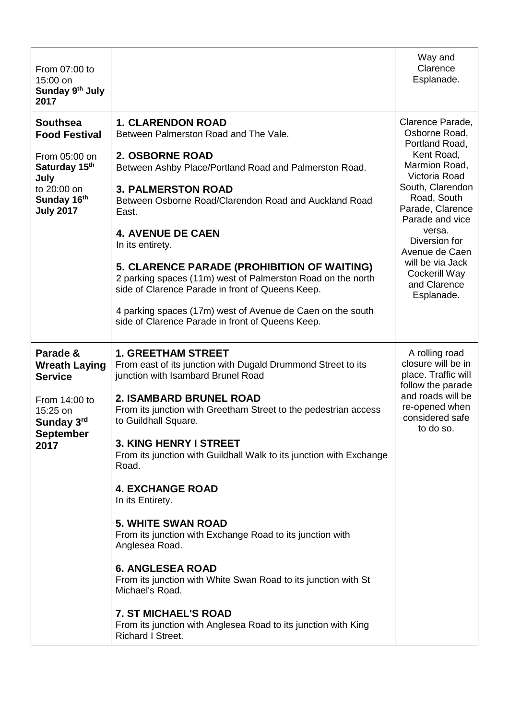| From 07:00 to<br>15:00 on<br>Sunday 9th July<br>2017                                                                                |                                                                                                                                                                                                                                                                                                                                                                                                                                                                                                                                                                                                                                                                                                                                                                                | Way and<br>Clarence<br>Esplanade.                                                                                                                                                                                                                                                             |
|-------------------------------------------------------------------------------------------------------------------------------------|--------------------------------------------------------------------------------------------------------------------------------------------------------------------------------------------------------------------------------------------------------------------------------------------------------------------------------------------------------------------------------------------------------------------------------------------------------------------------------------------------------------------------------------------------------------------------------------------------------------------------------------------------------------------------------------------------------------------------------------------------------------------------------|-----------------------------------------------------------------------------------------------------------------------------------------------------------------------------------------------------------------------------------------------------------------------------------------------|
| <b>Southsea</b><br><b>Food Festival</b><br>From 05:00 on<br>Saturday 15th<br>July<br>to 20:00 on<br>Sunday 16th<br><b>July 2017</b> | <b>1. CLARENDON ROAD</b><br>Between Palmerston Road and The Vale.<br>2. OSBORNE ROAD<br>Between Ashby Place/Portland Road and Palmerston Road.<br><b>3. PALMERSTON ROAD</b><br>Between Osborne Road/Clarendon Road and Auckland Road<br>East.<br><b>4. AVENUE DE CAEN</b><br>In its entirety.<br>5. CLARENCE PARADE (PROHIBITION OF WAITING)<br>2 parking spaces (11m) west of Palmerston Road on the north<br>side of Clarence Parade in front of Queens Keep.<br>4 parking spaces (17m) west of Avenue de Caen on the south<br>side of Clarence Parade in front of Queens Keep.                                                                                                                                                                                              | Clarence Parade,<br>Osborne Road,<br>Portland Road,<br>Kent Road,<br>Marmion Road,<br>Victoria Road<br>South, Clarendon<br>Road, South<br>Parade, Clarence<br>Parade and vice<br>versa.<br>Diversion for<br>Avenue de Caen<br>will be via Jack<br>Cockerill Way<br>and Clarence<br>Esplanade. |
| Parade &<br><b>Wreath Laying</b><br><b>Service</b><br>From 14:00 to<br>15:25 on<br>Sunday 3rd<br><b>September</b><br>2017           | <b>1. GREETHAM STREET</b><br>From east of its junction with Dugald Drummond Street to its<br>junction with Isambard Brunel Road<br><b>2. ISAMBARD BRUNEL ROAD</b><br>From its junction with Greetham Street to the pedestrian access<br>to Guildhall Square.<br><b>3. KING HENRY I STREET</b><br>From its junction with Guildhall Walk to its junction with Exchange<br>Road.<br><b>4. EXCHANGE ROAD</b><br>In its Entirety.<br><b>5. WHITE SWAN ROAD</b><br>From its junction with Exchange Road to its junction with<br>Anglesea Road.<br><b>6. ANGLESEA ROAD</b><br>From its junction with White Swan Road to its junction with St<br>Michael's Road.<br><b>7. ST MICHAEL'S ROAD</b><br>From its junction with Anglesea Road to its junction with King<br>Richard I Street. | A rolling road<br>closure will be in<br>place. Traffic will<br>follow the parade<br>and roads will be<br>re-opened when<br>considered safe<br>to do so.                                                                                                                                       |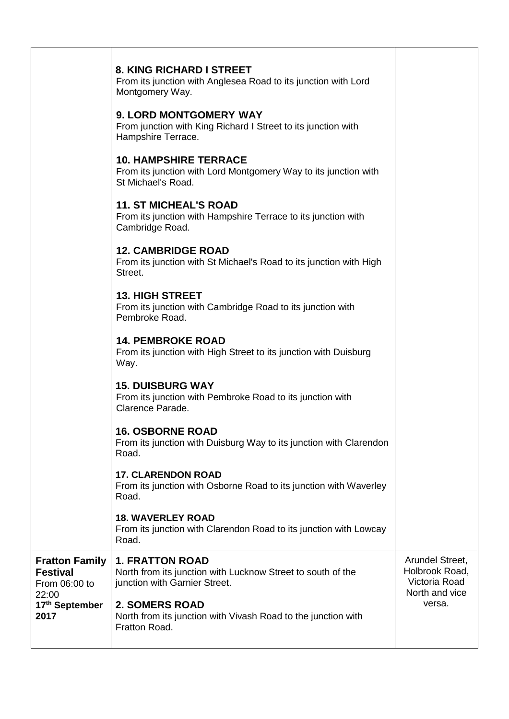|                                                                    | 8. KING RICHARD I STREET<br>From its junction with Anglesea Road to its junction with Lord<br>Montgomery Way.          |                                                                      |
|--------------------------------------------------------------------|------------------------------------------------------------------------------------------------------------------------|----------------------------------------------------------------------|
|                                                                    | <b>9. LORD MONTGOMERY WAY</b><br>From junction with King Richard I Street to its junction with<br>Hampshire Terrace.   |                                                                      |
|                                                                    | <b>10. HAMPSHIRE TERRACE</b><br>From its junction with Lord Montgomery Way to its junction with<br>St Michael's Road.  |                                                                      |
|                                                                    | <b>11. ST MICHEAL'S ROAD</b><br>From its junction with Hampshire Terrace to its junction with<br>Cambridge Road.       |                                                                      |
|                                                                    | <b>12. CAMBRIDGE ROAD</b><br>From its junction with St Michael's Road to its junction with High<br>Street.             |                                                                      |
|                                                                    | <b>13. HIGH STREET</b><br>From its junction with Cambridge Road to its junction with<br>Pembroke Road.                 |                                                                      |
|                                                                    | <b>14. PEMBROKE ROAD</b><br>From its junction with High Street to its junction with Duisburg<br>Way.                   |                                                                      |
|                                                                    | <b>15. DUISBURG WAY</b><br>From its junction with Pembroke Road to its junction with<br>Clarence Parade.               |                                                                      |
|                                                                    | <b>16. OSBORNE ROAD</b><br>From its junction with Duisburg Way to its junction with Clarendon<br>Road.                 |                                                                      |
|                                                                    | <b>17. CLARENDON ROAD</b><br>From its junction with Osborne Road to its junction with Waverley<br>Road.                |                                                                      |
|                                                                    | <b>18. WAVERLEY ROAD</b><br>From its junction with Clarendon Road to its junction with Lowcay<br>Road.                 |                                                                      |
| <b>Fratton Family</b><br><b>Festival</b><br>From 06:00 to<br>22:00 | <b>1. FRATTON ROAD</b><br>North from its junction with Lucknow Street to south of the<br>junction with Garnier Street. | Arundel Street,<br>Holbrook Road,<br>Victoria Road<br>North and vice |
| 17th September<br>2017                                             | <b>2. SOMERS ROAD</b><br>North from its junction with Vivash Road to the junction with<br>Fratton Road.                | versa.                                                               |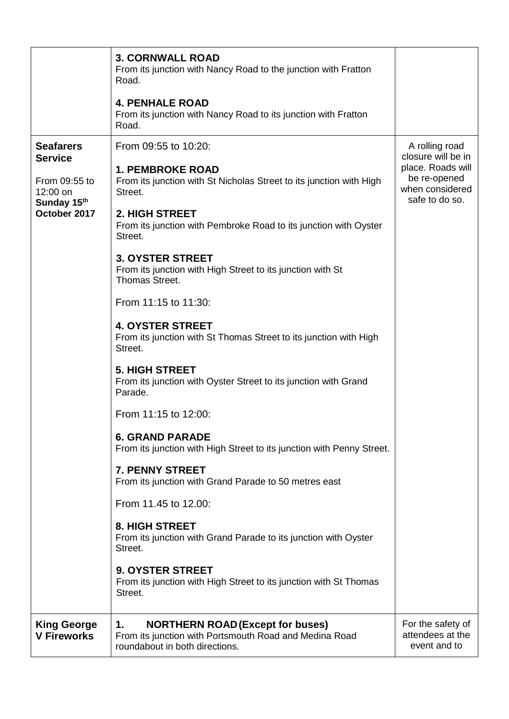|                                                                                                | <b>3. CORNWALL ROAD</b><br>From its junction with Nancy Road to the junction with Fratton<br>Road.<br><b>4. PENHALE ROAD</b>                                                                                                       |                                                                                                                |
|------------------------------------------------------------------------------------------------|------------------------------------------------------------------------------------------------------------------------------------------------------------------------------------------------------------------------------------|----------------------------------------------------------------------------------------------------------------|
|                                                                                                | From its junction with Nancy Road to its junction with Fratton<br>Road.                                                                                                                                                            |                                                                                                                |
| <b>Seafarers</b><br><b>Service</b><br>From 09:55 to<br>12:00 on<br>Sunday 15th<br>October 2017 | From 09:55 to 10:20:<br><b>1. PEMBROKE ROAD</b><br>From its junction with St Nicholas Street to its junction with High<br>Street.<br>2. HIGH STREET<br>From its junction with Pembroke Road to its junction with Oyster<br>Street. | A rolling road<br>closure will be in<br>place. Roads will<br>be re-opened<br>when considered<br>safe to do so. |
|                                                                                                | <b>3. OYSTER STREET</b><br>From its junction with High Street to its junction with St<br>Thomas Street.                                                                                                                            |                                                                                                                |
|                                                                                                | From 11:15 to 11:30:                                                                                                                                                                                                               |                                                                                                                |
|                                                                                                | <b>4. OYSTER STREET</b><br>From its junction with St Thomas Street to its junction with High<br>Street.                                                                                                                            |                                                                                                                |
|                                                                                                | <b>5. HIGH STREET</b><br>From its junction with Oyster Street to its junction with Grand<br>Parade.                                                                                                                                |                                                                                                                |
|                                                                                                | From 11:15 to 12:00:                                                                                                                                                                                                               |                                                                                                                |
|                                                                                                | <b>6. GRAND PARADE</b><br>From its junction with High Street to its junction with Penny Street.                                                                                                                                    |                                                                                                                |
|                                                                                                | 7. PENNY STREET<br>From its junction with Grand Parade to 50 metres east                                                                                                                                                           |                                                                                                                |
|                                                                                                | From 11.45 to 12.00:                                                                                                                                                                                                               |                                                                                                                |
|                                                                                                | <b>8. HIGH STREET</b><br>From its junction with Grand Parade to its junction with Oyster<br>Street.                                                                                                                                |                                                                                                                |
|                                                                                                | <b>9. OYSTER STREET</b><br>From its junction with High Street to its junction with St Thomas<br>Street.                                                                                                                            |                                                                                                                |
| <b>King George</b><br><b>V Fireworks</b>                                                       | <b>NORTHERN ROAD (Except for buses)</b><br>1.<br>From its junction with Portsmouth Road and Medina Road<br>roundabout in both directions.                                                                                          | For the safety of<br>attendees at the<br>event and to                                                          |